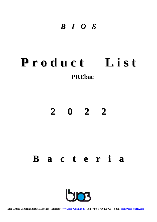# *B I O S*

# **P r o d u c t L i s t PREbac**

# **2 0 2 2**

# **B a c t e r i a**

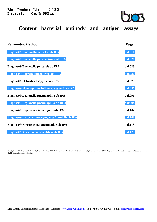

**Content bacterial antibody and antigen assays**

| <b>Parameter/Method</b>                             | Page          |
|-----------------------------------------------------|---------------|
| <b>Biognost® Bartonella henselae ab IFA</b>         | bak011        |
| <b>Biognost® Bordetella parapertussis ab IFA</b>    | <b>bak020</b> |
| <b>Biognost® Bordetella pertussis ab IFA</b>        | <b>bak023</b> |
| Biognost® Borrelia burgdorferi ab IFA               | <b>bak030</b> |
| Biognost <sup>®</sup> Helicobacter pylori ab IFA    | <b>bak079</b> |
| Biognost® Haemophilus influenzae type B ab IFA      | <b>bak085</b> |
| Biognost <sup>®</sup> Legionella pneumophila ab IFA | <b>bak091</b> |
| Biognost® Legionella pneumophila ag DFA             | <b>bak094</b> |
| Biognost® Leptospira interrogans ab IFA             | <b>bak102</b> |
| Biognost® Listeria monocytogenes 1 und 4b ab IFA    | <b>bak108</b> |
| Biognost <sup>®</sup> Mycoplasma pneumoniae ab IFA  | <b>bak113</b> |
| <b>Biognost® Yersinia enterocolitica ab IFA</b>     | <b>bak129</b> |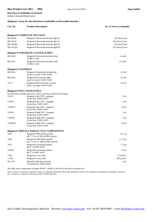# **Bios Product List 2022** PRE print from 04.10.2021 Page bak011 **Detection of antibodies to bacteria**

Indirect Immunofluorescence

# **Biognost® Assay for the detection of antibodies to Bartonella henselae**

| Cat. No.                         | <b>Product Description</b>                                                       | <b>No. of Tests or Quantity</b> |
|----------------------------------|----------------------------------------------------------------------------------|---------------------------------|
|                                  | <b>Biognost® COMPLETE TEST KITS</b>                                              |                                 |
| BH-16060                         | Biognost <sup>®</sup> Bartonella henselae IgG kit                                | $60(10x6)$ tests                |
| BH-16120                         | Biognost® Bartonella henselae IgG kit                                            | $120(10x12)$ tests              |
| BH-1606M                         | Biognost® Bartonella henselae IgM kit                                            | $60(10x6)$ tests                |
| BH-1612M                         | Biognost® Bartonella henselae IgM kit                                            | $120(10x12)$ tests              |
|                                  | <b>Biognost® SUBSTRATE COATED SLIDES</b>                                         |                                 |
| BH-1606                          | Biognost <sup>®</sup> Bartonella henselae slide<br>in HEp-2 cells                | 6 wells                         |
| BH-1612                          | Biognost® Bartonella henselae slide<br>in HEp-2 cells                            | 12 wells                        |
| <b>Biognost® CONTROLS</b>        |                                                                                  |                                 |
| <b>BH-1601</b>                   | Biognost <sup>®</sup> Bartonella henselae IgG<br>positive control, 0.09% NaN3    | $0,3$ ml                        |
| BH-1602                          | Biognost <sup>®</sup> B. henselae IgM<br>positive control, 0.09% NaN3            | $0,2$ ml                        |
| 1111I                            | Biognost®/Biosave® neg. control<br>infect. serology, 0.09% NaN3                  | $0.5$ ml                        |
| <b>Biognost® FITC CONJUGATES</b> |                                                                                  |                                 |
|                                  | for infectious serology (bacteria, viruses, parasites, protozoa and fungi)       |                                 |
| 1501G                            | Biognost <sup>®</sup> IgG FITC conjugate<br>Evans blue, 0.09% NaN3               | $2 \text{ ml}$                  |
| 15301G                           | Biognost <sup>®</sup> IgG FITC conjugate<br>Evans blue, 0.09% NaN3               | $3 \text{ ml}$                  |
| 151001G                          | Biognost <sup>®</sup> IgG FITC conjugate<br>Evans blue, 0.09% NaN3               | 10 <sub>ml</sub>                |
| 1501M                            | Biognost <sup>®</sup> IgM FITC conjugate<br>Evans blue, 0.09% NaN3               | 2 ml                            |
| 15301M                           | Biognost <sup>®</sup> IgM FITC conjugate<br>Evans blue, 0.09% NaN3               | $3 \text{ ml}$                  |
| 151001M                          | Biognost <sup>®</sup> IgM FITC conjugate<br>Evans blue, 0.09% NaN3               | 10 <sub>ml</sub>                |
|                                  | <b>Biognost® MISCELLANEOUS TEST COMPONENTS</b>                                   |                                 |
| 1605                             | Biognost <sup>®</sup> PBS buffer powder<br>pH 7.5, for 4x 500 ml PBS solution    | $4 \times 5$ g                  |
| 1606                             | Biognost <sup>®</sup> PBS buffer powder<br>$pH$ 7.5, for 2x 1000 ml PBS solution | $2 \times 10$ g                 |
| 1610                             | Biognost <sup>®</sup> mounting medium<br>pH 7.5, 0.09% NaN3                      | $1.5$ ml                        |
| 161010                           | Biognost <sup>®</sup> mounting medium<br>pH 7.5, 0.09% NaN3                      | 10 <sub>ml</sub>                |
| 1700                             | Biognost <sup>®</sup> cover slips                                                | 15 piece/s                      |
| 17200                            | Biognost <sup>®</sup> cover slips                                                | 200 piece/s                     |
| 90-1120                          | Biosorb <sup>®</sup> IgM/IgA isolation<br>120 isolations, 0.09% NaN3             | 5 ml                            |

See other assay components on pages div001 - div003 at the end of the price or product list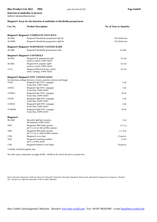# **Bios Product List 2022** PRE print from 04.10.2021 Page bak020 **Detection of antibodies to bacteria**

Indirect Immunofluorescence

#### **Biognost® Assay for the detection of antibodies to Bordetella parapertussis**

| Cat. No.                     | <b>Product Description</b>                                                               | <b>No. of Tests or Quantity</b> |
|------------------------------|------------------------------------------------------------------------------------------|---------------------------------|
|                              | <b>Biognost® Biognost® COMPLETE TEST KITS</b>                                            |                                 |
| 30-2060                      | Biognost <sup>®</sup> Bordetella parapertussis IgG kit                                   | $60(10x6)$ tests                |
| 30-206M                      | Biognost <sup>®</sup> Bordetella parapertussis IgM kit                                   | $60(10x6)$ tests                |
|                              | <b>Biognost® Biognost® SUBSTRATE COATED SLIDE</b>                                        |                                 |
| 30-2006                      | Biognost <sup>®</sup> Bordetella parapertussis slide                                     | 6 wells                         |
|                              | <b>Biognost<sup>®</sup> Biognost<sup>®</sup> CONTROLS</b>                                |                                 |
| 30-2001                      | Biognost <sup>®</sup> B. parapertussis IgG<br>positive control, 0.09% NaN3               | $0,3$ ml                        |
| 30-2002                      | Biognost <sup>®</sup> B. parapert. IgM <sup>*</sup><br>positive control, 0.09% NaN3      | $0,2$ ml                        |
| 1111I                        | Biognost <sup>®</sup> /Biosave <sup>®</sup> neg. control<br>infect. serology, 0.09% NaN3 | $0.5$ ml                        |
|                              | <b>Biognost® Biognost® FITC CONJUGATES</b>                                               |                                 |
|                              | for infectious serology (bacteria, viruses, parasites, protozoa and fungi)               |                                 |
| 1501G                        | Biognost <sup>®</sup> IgG FITC conjugate<br>Evans blue, 0.09% NaN3                       | 2 <sub>ml</sub>                 |
| 15301G                       | Biognost <sup>®</sup> IgG FITC conjugate<br>Evans blue, 0.09% NaN3                       | 3 <sub>ml</sub>                 |
| 151001G                      | Biognost <sup>®</sup> IgG FITC conjugate<br>Evans blue, 0.09% NaN3                       | 10 <sub>ml</sub>                |
| 1501M                        | Biognost <sup>®</sup> IgM FITC conjugate<br>Evans blue, 0.09% NaN3                       | $2 \text{ ml}$                  |
| 15301M                       | Biognost® IgM FITC conjugate<br>Evans blue, 0.09% NaN3                                   | 3 ml                            |
| 151001M                      | Biognost <sup>®</sup> IgM FITC conjugate<br>Evans blue, 0.09% NaN3                       | 10 <sub>ml</sub>                |
| <b>Biognost</b> <sup>®</sup> |                                                                                          |                                 |
| 90-1048                      | Biosorb <sup>®</sup> IgM/IgA isolation<br>48 isolations, 0.09% NaN3                      | $2 \text{ ml}$                  |
| 1605                         | Biognost <sup>®</sup> PBS buffer powder<br>$pH$ 7.5, for 4x 500 ml PBS solution          | 4 x 5 g                         |
| 1606                         | Biognost <sup>®</sup> PBS buffer powder<br>$pH$ 7.5, for 2x 1000 ml PBS solution         | $2 \times 10 g$                 |
| 1700                         | Biognost <sup>®</sup> cover slips                                                        | 15 piece/s                      |
| 1610                         | Biognost <sup>®</sup> mounting medium<br>pH 7.5, 0.09% NaN3                              | $1,5$ ml                        |
| 1706                         | Biognost <sup>®</sup> blotters 6 well slides                                             | $10$ piece/s                    |

\*vailable at limited supplies only

See other assay components on pages div001 - div003 at the end of the price or product list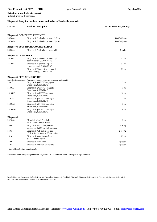# **Bios Product List 2022** PRE print from 04.10.2021 Page bak023 **Detection of antibodies to bacteria**

Indirect Immunofluorescence

#### **Biognost® Assay for the detection of antibodies to Bordetella pertussis**

| Cat. No.                  | <b>Product Description</b>                                                                                                                       | <b>No. of Tests or Quantity</b> |
|---------------------------|--------------------------------------------------------------------------------------------------------------------------------------------------|---------------------------------|
|                           | <b>Biognost® COMPLETE TEST KITS</b>                                                                                                              |                                 |
| 36-2060                   | Biognost <sup>®</sup> Bordetella pertussis IgG kit                                                                                               | $60(10x6)$ tests                |
| 36-206M                   | Biognost <sup>®</sup> Bordetella pertussis IgM kit                                                                                               | $60(10x6)$ tests                |
|                           | <b>Biognost® SUBSTRATE COATED SLIDES</b>                                                                                                         |                                 |
| 36-2006                   | Biognost <sup>®</sup> Bordetella pertussis slide                                                                                                 | 6 wells                         |
| <b>Biognost® CONTROLS</b> |                                                                                                                                                  |                                 |
| 36-2001                   | Biognost <sup>®</sup> Bordetella pertussis IgG<br>positive control, 0.09% NaN3                                                                   | $0.3$ ml                        |
| 36-2002                   | Biognost <sup>®</sup> B. pertussis IgM <sup>*</sup><br>positive control, 0.09% NaN3                                                              | $0.2$ ml                        |
| 1111I                     | Biognost®/Biosave® neg. control<br>infect. serology, 0.09% NaN3                                                                                  | $0,5$ ml                        |
|                           | <b>Biognost® FITC CONJUGATES</b>                                                                                                                 |                                 |
| 1501G                     | for infectious serology (bacteria, viruses, parasites, protozoa and fungi)<br>Biognost <sup>®</sup> IgG FITC conjugate<br>Evans blue, 0.09% NaN3 | $2 \text{ ml}$                  |
| 15301G                    | Biognost <sup>®</sup> IgG FITC conjugate<br>Evans blue, 0.09% NaN3                                                                               | $3 \text{ ml}$                  |
| 151001G                   | Biognost <sup>®</sup> IgG FITC conjugate<br>Evans blue, 0.09% NaN3                                                                               | 10 <sub>ml</sub>                |
| 1501M                     | Biognost <sup>®</sup> IgM FITC conjugate<br>Evans blue, 0.09% NaN3                                                                               | $2 \text{ ml}$                  |
| 15301M                    | Biognost <sup>®</sup> IgM FITC conjugate<br>Evans blue, 0.09% NaN3                                                                               | $3 \text{ ml}$                  |
| 151001M                   | Biognost <sup>®</sup> IgM FITC conjugate<br>Evans blue, 0.09% NaN3                                                                               | 10 <sub>ml</sub>                |
| <b>Biognost®</b>          |                                                                                                                                                  |                                 |
| 90-1048                   | Biosorb <sup>®</sup> IgM/IgA isolation<br>48 isolations, 0.09% NaN3                                                                              | $2 \text{ ml}$                  |
| 1605                      | Biognost <sup>®</sup> PBS buffer powder<br>pH 7.5, for 4x 500 ml PBS solution                                                                    | $4 \times 5$ g                  |
| 1606                      | Biognost <sup>®</sup> PBS buffer powder<br>$pH$ 7.5, for 2x 1000 ml PBS solution                                                                 | $2 \times 10$ g                 |
| 1610                      | Biognost <sup>®</sup> mounting medium<br>pH 7.5, 0.09% NaN3                                                                                      | $1,5$ ml                        |
| 1700                      | Biognost <sup>®</sup> cover slips                                                                                                                | 15 piece/s                      |
| 1706                      | Biognost <sup>®</sup> blotters 6 well slides                                                                                                     | $10$ piece/s                    |

\*Available at limited supplies only

Please see other assay components on pages div001 - div003 at the end of the price or product list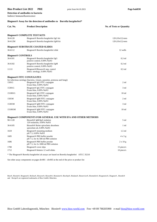# **Bios Product List 2022** PRE print from 04.10.2021 Page bak030 **Detection of antibodies to bacteria**

Indirect Immunofluorescence

#### **Biognost® Assay for the detection of antibodies to Borrelia burgdorferi\***

| Cat. No.                  | <b>Product Description</b>                                                                  | <b>No. of Tests or Quantity</b> |
|---------------------------|---------------------------------------------------------------------------------------------|---------------------------------|
|                           | <b>Biognost® COMPLETE TEST KITS</b>                                                         |                                 |
| 36-6120                   | Biognost <sup>®</sup> Borrelia burgdorferi IgG kit                                          | $120(10x12)$ tests              |
| 36-612M                   | Biognost <sup>®</sup> Borrelia burgdorferi IgM kit                                          | $120(10x12)$ tests              |
|                           |                                                                                             |                                 |
|                           | <b>Biognost® SUBSTRATE COATED SLIDES</b>                                                    |                                 |
| 36-6112                   | Biognost <sup>®</sup> Borrelia burgdorferi slide                                            | 12 wells                        |
| <b>Biognost® CONTROLS</b> |                                                                                             |                                 |
| 36-6101                   | Biognost <sup>®</sup> Borrelia burgdorferi IgG                                              | $0.3$ ml                        |
|                           | positive control, 0.09% NaN3                                                                |                                 |
| 36-6102                   | Biognost <sup>®</sup> Borrelia burgdorferi IgM                                              | $0.3$ ml                        |
| 1111I                     | positive control, 0.09% NaN3<br>Biognost®/Biosave® neg. control                             | $0,5$ ml                        |
|                           | infect. serology, 0.09% NaN3                                                                |                                 |
|                           | <b>Biognost® FITC CONJUGATES</b>                                                            |                                 |
|                           | for infectious serology (bacteria, viruses, parasites, protozoa and fungi)                  |                                 |
| 1501G                     | Biognost <sup>®</sup> IgG FITC conjugate                                                    | 2 <sub>ml</sub>                 |
|                           | Evans blue, 0.09% NaN3                                                                      |                                 |
| 15301G                    | Biognost <sup>®</sup> IgG FITC conjugate<br>Evans blue, 0.09% NaN3                          | $3 \text{ ml}$                  |
| 151001G                   | Biognost <sup>®</sup> IgG FITC conjugate<br>Evans blue, 0.09% NaN3                          | 10 <sub>ml</sub>                |
| 1501M                     | Biognost® IgM FITC conjugate<br>Evans blue, 0.09% NaN3                                      | 2 <sub>ml</sub>                 |
| 15301M                    | Biognost <sup>®</sup> IgM FITC conjugate<br>Evans blue, 0.09% NaN3                          | $3 \text{ ml}$                  |
| 151001M                   | Biognost <sup>®</sup> IgM FITC conjugate<br>Evans blue, 0.09% NaN3                          | 10 <sub>ml</sub>                |
|                           | <b>Biognost® COMPONENTS FOR GENERAL USE WITH IFA AND OTHER METHODS</b>                      |                                 |
| 90-1120                   | Biosorb <sup>®</sup> IgM/IgA isolation                                                      | 5 <sub>ml</sub>                 |
|                           | 120 isolations, 0.09% NaN3                                                                  |                                 |
| 36-6105                   | Biosorb <sup>®</sup> Reiter spirochete absorbens<br>spirochete ab, 0.09% NaN3               | 1 ml                            |
| 1610                      | Biognost <sup>®</sup> mounting medium<br>pH 7.5, 0.09% NaN3                                 | $1.5$ ml                        |
| 1605                      | Biognost <sup>®</sup> PBS buffer powder<br>pH 7.5, for 4x 500 ml PBS solution               | 4 x 5 g                         |
| 1606                      | Biognost <sup>®</sup> PBS buffer powder<br>pH 7.5, for 2x 1000 ml PBS solution              | $2 \times 10$ g                 |
| 1700                      | Biognost <sup>®</sup> cover slips                                                           | 15 piece/s                      |
| 1712                      | Biognost <sup>®</sup> blotters 12 well slides                                               | 10 piece/s                      |
|                           | * The Biognost® Borrelia burgdorferi ab assays are based on Borrelia burgdorferi ATCC 35210 |                                 |

See other assay components on pages div001 - div003 at the end of the price or product list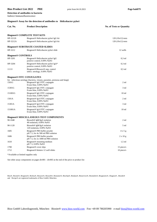# **Bios Product List 2022** PRE print from 04.10.2021 Page bak079 **Detection of antibodies to bacteria**

Indirect Immunofluorescence

#### **Biognost® Assay for the detection of antibodies to Helicobacter pylori**

| Cat. No.                             | <b>Product Description</b>                                                                                                                       | <b>No. of Tests or Quantity</b> |
|--------------------------------------|--------------------------------------------------------------------------------------------------------------------------------------------------|---------------------------------|
|                                      | <b>Biognost® COMPLETE TEST KITS</b>                                                                                                              |                                 |
| HP-32120                             | Biognost <sup>®</sup> Helicobacter pylori IgG kit                                                                                                | $120(10x12)$ tests              |
| HP-3212A                             | Biognost <sup>®</sup> Helicobacter pylori IgA kit                                                                                                | $120(10x12)$ tests              |
|                                      | <b>Biognost® SUBSTRATE COATED SLIDES</b>                                                                                                         |                                 |
| HP-3212                              | Biognost <sup>®</sup> Helicobacter pylori slide                                                                                                  | 12 wells                        |
| <b>Biognost<sup>®</sup></b> CONTROLS |                                                                                                                                                  |                                 |
| HP-3201                              | Biognost <sup>®</sup> Helicobacter pylori IgG<br>positive control, 0.09% NaN3                                                                    | $0.3$ ml                        |
| HP-3204                              | Biognost <sup>®</sup> Helicobacter pylori IgA*<br>positive control, 0.09% NaN3                                                                   | $0.3$ ml                        |
| 1111I                                | Biognost <sup>®</sup> /Biosave <sup>®</sup> neg. control<br>infect. serology, 0.09% NaN3                                                         | $0.5$ ml                        |
|                                      | <b>Biognost® FITC CONJUGATES</b>                                                                                                                 |                                 |
| 1501G                                | for infectious serology (bacteria, viruses, parasites, protozoa and fungi)<br>Biognost <sup>®</sup> IgG FITC conjugate<br>Evans blue, 0.09% NaN3 | $2 \text{ ml}$                  |
| 15301G                               | Biognost <sup>®</sup> IgG FITC conjugate<br>Evans blue, 0.09% NaN3                                                                               | $3 \text{ ml}$                  |
| 151001G                              | Biognost <sup>®</sup> IgG FITC conjugate<br>Evans blue, 0.09% NaN3                                                                               | 10 <sub>ml</sub>                |
| 1501A                                | Biognost <sup>®</sup> IgA FITC conjugate<br>Evans blue, 0.09% NaN3                                                                               | $2 \text{ ml}$                  |
| 15301A                               | Biognost <sup>®</sup> IgA FITC conjugate<br>Evans blue, 0.09% NaN3                                                                               | 3 ml                            |
| 151001A                              | Biognost <sup>®</sup> IgA FITC conjugate<br>Evans blue, 0.09% NaN3                                                                               | 10 <sub>ml</sub>                |
|                                      | <b>Biognost® MISCELLANEOUS TEST COMPONENTS</b>                                                                                                   |                                 |
| 90-1048                              | Biosorb <sup>®</sup> IgM/IgA isolation<br>48 isolations, 0.09% NaN3                                                                              | $2 \text{ ml}$                  |
| 90-1120                              | Biosorb <sup>®</sup> IgM/IgA isolation<br>120 isolations, 0.09% NaN3                                                                             | $5 \text{ ml}$                  |
| 1605                                 | Biognost <sup>®</sup> PBS buffer powder<br>pH 7.5, for 4x 500 ml PBS solution                                                                    | $4 \times 5$ g                  |
| 1606                                 | Biognost <sup>®</sup> PBS buffer powder<br>$pH$ 7.5, for 2x 1000 ml PBS solution                                                                 | $2 \times 10$ g                 |
| 1610                                 | Biognost <sup>®</sup> mounting medium<br>pH 7.5, 0.09% NaN3                                                                                      | $1,5$ ml                        |
| 1700                                 | Biognost <sup>®</sup> cover slips                                                                                                                | 15 piece/s                      |
| 1712                                 | Biognost <sup>®</sup> blotters 12 well slides                                                                                                    | 10 piece/s                      |

\*Available at limited supplies only

See other assay components on pages div001 - div003 at the end of the price or product list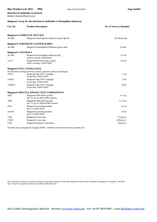# **Bios Product List 2022** PRE print from 04.10.2021 Page bak085 **Detection of antibodies to bacteria**

Indirect Immunofluorescence

#### **Biognost® Assay for the detection of antibodies to Hemophilus influenzae**

| Cat. No.                  | <b>Product Description</b>                                                                                                                       | <b>No. of Tests or Quantity</b> |
|---------------------------|--------------------------------------------------------------------------------------------------------------------------------------------------|---------------------------------|
|                           | <b>Biognost® COMPLETE TEST KIT</b>                                                                                                               |                                 |
| 30-1060                   | Biognost <sup>®</sup> Haemophilus influenzae type b IgG kit                                                                                      | $60(10x6)$ tests                |
|                           | <b>Biognost® SUBSTRATE COATED SLIDES</b>                                                                                                         |                                 |
| 30-1006                   | Biognost <sup>®</sup> Haemophilus influenzae type b slide                                                                                        | 6 wells                         |
| <b>Biognost® CONTROLS</b> |                                                                                                                                                  |                                 |
| 30-1001                   | Biognost <sup>®</sup> Haemophilus influenzae IgG<br>positive control, 0.09% NaN3                                                                 | $0,3$ ml                        |
| 1111I                     | Biognost®/Biosave® neg. control<br>infect. serology, 0.09% NaN3                                                                                  | $0.5$ ml                        |
|                           | <b>Biognost® FITC CONJUGATES</b>                                                                                                                 |                                 |
| 1501G                     | for infectious serology (bacteria, viruses, parasites, protozoa and fungi)<br>Biognost <sup>®</sup> IgG FITC conjugate<br>Evans blue, 0.09% NaN3 | $2 \text{ ml}$                  |
| 15301G                    | Biognost <sup>®</sup> IgG FITC conjugate<br>Evans blue, 0.09% NaN3                                                                               | 3 <sub>ml</sub>                 |
| 151001G                   | Biognost <sup>®</sup> IgG FITC conjugate<br>Evans blue, 0.09% NaN3                                                                               | 10 <sub>ml</sub>                |
|                           | <b>Biognost® MISCELLANEOUS TEST COMPONENTS</b>                                                                                                   |                                 |
| 1605                      | Biognost <sup>®</sup> PBS buffer powder<br>pH 7.5, for 4x 500 ml PBS solution                                                                    | 4x5g                            |
| 1606                      | Biognost <sup>®</sup> PBS buffer powder<br>$pH$ 7.5, for 2x 1000 ml PBS solution                                                                 | $2 \times 10 g$                 |
| 1610                      | Biognost <sup>®</sup> mounting medium<br>pH 7.5, 0.09% NaN3                                                                                      | $1.5$ ml                        |
| 161010                    | Biognost <sup>®</sup> mounting medium<br>pH 7.5, 0.09% NaN3                                                                                      | 10 <sub>ml</sub>                |
| 1700                      | Biognost <sup>®</sup> cover slips                                                                                                                | 15 piece/s                      |
| 17200                     | Biognost <sup>®</sup> cover slips                                                                                                                | 200 piece/s                     |
| 1706                      | Biognost <sup>®</sup> blotters 6 well slides                                                                                                     | 10 piece/s                      |

See other assay components on pages div001 - div003 at the end of the price or product list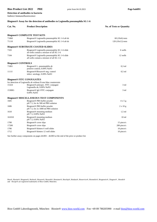# **Bios Product List 2022** PRE print from 04.10.2021 Page bak091 **Detection of antibodies to bacteria**

Indirect Immunofluorescence

#### **Biognost® Assay for the detection of antibodies to Legionella pneumophila SG 1-6**

| Cat. No.                  | <b>Product Description</b>                                                                 | <b>No. of Tests or Quantity</b> |
|---------------------------|--------------------------------------------------------------------------------------------|---------------------------------|
|                           |                                                                                            |                                 |
|                           | <b>Biognost® COMPLETE TEST KITS</b>                                                        |                                 |
| 71060                     | Biognost <sup>®</sup> Legionella pneumophila SG 1-6 ab kit                                 | $60(10x6)$ tests                |
| 71110                     | Biognost <sup>®</sup> Legionella pneumophila SG 1-6 ab kit                                 | $120(10x12)$ tests              |
|                           | <b>Biognost® SUBSTRATE COATED SLIDES</b>                                                   |                                 |
| 7103                      | Biognost® Legionella pneumophila SG 1-6 slide<br>all wells contain a mixture of all SG 1-6 | 6 wells                         |
| 7104                      | Biognost® Legionella pneumophila SG 1-6 slide<br>all wells contain a mixture of all SG 1-6 | 12 wells                        |
| <b>Biognost® CONTROLS</b> |                                                                                            |                                 |
| 71001                     | Biognost <sup>®</sup> L. pneumophila ab<br>positive control, 0.09% NaN3                    | $0.3$ ml                        |
| 1111I                     | Biognost®/Biosave® neg. control<br>infect. serology, 0.09% NaN3                            | $0.5$ ml                        |
|                           | <b>Biognost® FITC CONJUGATES</b>                                                           |                                 |
|                           | for detection of Legionella ab without Evans blue counterstain                             |                                 |
| 15324                     | Biognost <sup>®</sup> polyspec. FITC conjugate<br>Legionella ab, 0.09% NaN3                | 3 <sub>ml</sub>                 |
| 15300G                    | Biognost <sup>®</sup> IgG FITC conjugate<br>0.09% NaN3                                     | 3 <sub>ml</sub>                 |
|                           | <b>Biognost® MISCELLANEOUS TEST COMPONENTS</b>                                             |                                 |
| 1605                      | Biognost <sup>®</sup> PBS buffer powder<br>pH 7.5, for 4x 500 ml PBS solution              | $4 \times 5$ g                  |
| 1606                      | Biognost <sup>®</sup> PBS buffer powder<br>$pH$ 7.5, for 2x 1000 ml PBS solution           | $2 \times 10$ g                 |
| 1610                      | Biognost <sup>®</sup> mounting medium<br>pH 7.5, 0.09% NaN3                                | $1.5$ ml                        |
| 161010                    | Biognost <sup>®</sup> mounting medium<br>pH 7.5, 0.09% NaN3                                | 10 <sub>ml</sub>                |
| 1700                      | Biognost <sup>®</sup> cover slips                                                          | 15 piece/s                      |
| 17200                     | Biognost <sup>®</sup> cover slips                                                          | 200 piece/s                     |
| 1706                      | Biognost <sup>®</sup> blotters 6 well slides                                               | 10 piece/s                      |
| 1712                      | Biognost <sup>®</sup> blotters 12 well slides                                              | 10 piece/s                      |

See further assay components on pages div001 - div003 at the end of the price or product list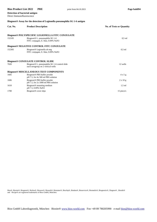#### **Bios Product List 2022** PRE print from 04.10.2021 Page bak094

**Detection of bacterial antigen** Direct Immunofluorescence

#### **Biognost® Assay for the detection of Legionella pneumophila SG 1-6 antigen**

| Cat. No. | <b>Product Description</b>                                                                      | <b>No. of Tests or Quantity</b> |
|----------|-------------------------------------------------------------------------------------------------|---------------------------------|
|          | <b>Biognost® POLYSPECIFIC LEGIONELLA FITC CONJUGATE</b>                                         |                                 |
| 152105   | Biognost <sup>®</sup> L. pneumophila SG 1-6<br>FITC conjugate, E. blue, 0.09% NaN3              | $0.5$ ml                        |
|          | <b>Biognost® NEGATIVE CONTROL FITC CONJUGATE</b>                                                |                                 |
| 152305   | Biognost <sup>®</sup> Legionella ab neg.<br>FITC conjugate, E. blue, 0.09% NaN3                 | $0.5$ ml                        |
|          | <b>Biognost® CONJUGATE CONTROL SLIDE</b>                                                        |                                 |
| 7020     | Biognost <sup>®</sup> L. pneumophila SG 1-6 control slide<br>each serogroup on 2 vertical wells | 12 wells                        |
|          | <b>Biognost® MISCELLANEOUS TEST COMPONENTS</b>                                                  |                                 |
| 1605     | Biognost <sup>®</sup> PBS buffer powder<br>pH 7.5, for 4x 500 ml PBS solution                   | $4 \times 5$ g                  |
| 1606     | Biognost <sup>®</sup> PBS buffer powder<br>$pH$ 7.5, for 2x 1000 ml PBS solution                | $2 \times 10 g$                 |
| 1610     | Biognost <sup>®</sup> mounting medium<br>pH 7.5, 0.09% NaN3                                     | $1.5$ ml                        |
| 1700     | Biognost <sup>®</sup> cover slips                                                               | 15 piece/s                      |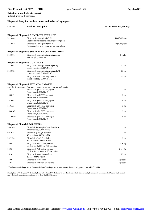# **Bios Product List 2022** PRE print from 04.10.2021 Page bak102 **Detection of antibodies to bacteria**

Indirect Immunofluorescence

# **Biognost® Assay for the detection of antibodies to Leptospira\***

| Cat. No. | <b>Product Description</b>                                                                                                                       | <b>No. of Tests or Quantity</b> |
|----------|--------------------------------------------------------------------------------------------------------------------------------------------------|---------------------------------|
|          | <b>Biognost® Biognost® COMPLETE TEST KITS</b>                                                                                                    |                                 |
| 31-1060  | Biognost® Leptospira IgG Kit<br>Leptospira interrogans serovar grippotyphosa                                                                     | $60(10x6)$ tests                |
| 31-106M  | Biognost <sup>®</sup> Leptospira IgM Kit<br>Leptospira interrogans serovar grippotyphosa                                                         | $60(10x6)$ tests                |
|          | <b>Biognost<sup>®</sup> Biognost<sup>®</sup> SUBSTRATE COATED SLIDES</b>                                                                         |                                 |
| 31-1006  | Biognost <sup>®</sup> Leptospira interrogans slide<br>serovar grippotyphosa                                                                      | 6 wells                         |
|          | <b>Biognost® Biognost® CONTROLS</b>                                                                                                              |                                 |
| 31-1001  | Biognost <sup>®</sup> Leptospira interrogans IgG<br>positive control, 0.09% NaN3                                                                 | $0.3$ ml                        |
| 31-1002  | Biognost <sup>®</sup> Leptospira interrogans IgM<br>positive control, 0,09% NaN3                                                                 | $0,2$ ml                        |
| 1111I    | Biognost <sup>®</sup> /Biosave <sup>®</sup> neg. control<br>infect. serology, 0.09% NaN3                                                         | $0.5$ ml                        |
|          | <b>Biognost® Biognost® FITC CONJUGATES</b>                                                                                                       |                                 |
| 1501G    | for infectious serology (bacteria, viruses, parasites, protozoa and fungi)<br>Biognost <sup>®</sup> IgG FITC conjugate<br>Evans blue, 0.09% NaN3 | 2 <sub>ml</sub>                 |
| 15301G   | Biognost <sup>®</sup> IgG FITC conjugate<br>Evans blue, 0.09% NaN3                                                                               | 3 ml                            |
| 151001G  | Biognost <sup>®</sup> IgG FITC conjugate<br>Evans blue, 0.09% NaN3                                                                               | 10 <sub>ml</sub>                |
| 1501M    | Biognost <sup>®</sup> IgM FITC conjugate<br>Evans blue, 0.09% NaN3                                                                               | 2 ml                            |
| 15301M   | Biognost <sup>®</sup> IgM FITC conjugate<br>Evans blue, 0.09% NaN3                                                                               | 3 ml                            |
| 151001M  | Biognost <sup>®</sup> IgM FITC conjugate<br>Evans blue, 0.09% NaN3                                                                               | 10 <sub>ml</sub>                |
|          | <b>Biognost® Biosorb® SORBENTS</b>                                                                                                               |                                 |
| 36-6105  | Biosorb® Reiter spirochete absorbens<br>spirochete ab, 0.09% NaN3                                                                                | 1 ml                            |
| 90-1048  | Biosorb <sup>®</sup> IgM/IgA isolation<br>48 isolations, 0.09% NaN3                                                                              | 2 ml                            |
| 90-1120  | Biosorb <sup>®</sup> IgM/IgA isolation<br>120 isolations, 0.09% NaN3                                                                             | 5 ml                            |
| 1605     | Biognost® PBS buffer powder<br>pH 7.5, for 4x 500 ml PBS solution                                                                                | 4 x 5 g                         |
| 1606     | Biognost <sup>®</sup> PBS buffer powder<br>pH 7.5, for 2x 1000 ml PBS solution                                                                   | $2 \times 10$ g                 |
| 1610     | Biognost <sup>®</sup> mounting medium<br>pH 7.5, 0.09% NaN3                                                                                      | $1,5$ ml                        |
| 1700     | Biognost <sup>®</sup> cover slips                                                                                                                | 15 piece/s                      |
| 1706     | Biognost® blotters 6 well slides                                                                                                                 | 10 piece/s                      |

\*The Biognost® Leptospira ab assay is based on Leptospira interrogans Serovar grippotyphosa ATCC 23469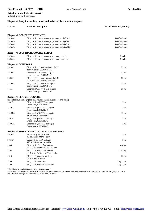# **Bios Product List 2022** PRE print from 04.10.2021 Page bak108 **Detection of antibodies to bacteria**

Indirect Immunofluorescence

| Biognost <sup>®</sup> Assay for the detection of antibodies to Listeria monocytogenes |                                                                                                                                      |                                 |
|---------------------------------------------------------------------------------------|--------------------------------------------------------------------------------------------------------------------------------------|---------------------------------|
| Cat. No.                                                                              | <b>Product Description</b>                                                                                                           | <b>No. of Tests or Quantity</b> |
|                                                                                       | <b>Biognost® COMPLETE TEST KITS</b>                                                                                                  |                                 |
| 33-1060                                                                               | Biognost <sup>®</sup> Listeria monocytogenes type 1 IgG kit                                                                          | $60(10x6)$ tests                |
| 33-106M                                                                               | Biognost® Listeria monocytogenes type 1 IgM kit*                                                                                     | $60(10x6)$ tests                |
| 33-2060                                                                               | Biognost® Listeria monocytogenes type 4b IgG kit                                                                                     | $60(10x6)$ tests                |
| 33-206M                                                                               | Biognost® Listeria monocytogenes type 4b IgM kit*                                                                                    | $60(10x6)$ tests                |
|                                                                                       | <b>Biognost® SUBSTRATE COATED SLIDES</b>                                                                                             |                                 |
| 33-1006                                                                               | Biognost® Listeria monocytogenes type 1 slide                                                                                        | 6 wells                         |
| 33-2006                                                                               | Biognost® Listeria monocytogenes type 4b slide                                                                                       | 6 wells                         |
| <b>Biognost® CONTROLS</b>                                                             |                                                                                                                                      |                                 |
| 33-1001                                                                               | Biognost® L. monocytogenes 1 IgG*<br>positive control, 0.09% NaN3                                                                    | $0,3$ ml                        |
| 33-1002                                                                               | Biognost <sup>®</sup> L. monocyt. 1 IgM*<br>positive control, 0.09% NaN3                                                             | $0,2$ ml                        |
| 33-2001                                                                               | Biognost <sup>®</sup> L. monocytogenes 4b IgG<br>positive control, with 0.09% NaN3                                                   | $0,3$ ml                        |
| 33-2002                                                                               | Biognost <sup>®</sup> L. monocyt. 4b IgM <sup>*</sup><br>positive control, 0.09% NaN3                                                | $0,2$ ml                        |
| 1111I                                                                                 | Biognost®/Biosave® neg. control<br>infect. serology, 0.09% NaN3                                                                      | $0.5$ ml                        |
|                                                                                       | <b>Biognost® FITC CONJUGATES</b>                                                                                                     |                                 |
| 1501G                                                                                 | for infectious serology (bacteria, viruses, parasites, protozoa and fungi)<br>Biognost® IgG FITC conjugate<br>Evans blue, 0.09% NaN3 | $2 \text{ ml}$                  |
| 15301G                                                                                | Biognost <sup>®</sup> IgG FITC conjugate<br>Evans blue, 0.09% NaN3                                                                   | 3 ml                            |
| 151001G                                                                               | Biognost <sup>®</sup> IgG FITC conjugate<br>Evans blue, 0.09% NaN3                                                                   | 10 <sub>ml</sub>                |
| 1501M                                                                                 | Biognost <sup>®</sup> IgM FITC conjugate<br>Evans blue, 0.09% NaN3                                                                   | $2 \text{ ml}$                  |
| 15301M                                                                                | Biognost <sup>®</sup> IgM FITC conjugate<br>Evans blue, 0.09% NaN3                                                                   | 3 ml                            |
|                                                                                       | <b>Biognost® MISCELLANEOUS TEST COMPONENTS</b>                                                                                       |                                 |
| 90-1048                                                                               | Biosorb <sup>®</sup> IgM/IgA isolation<br>48 isolations, 0.09% NaN3                                                                  | 2 <sub>ml</sub>                 |
| 90-1120                                                                               | Biosorb <sup>®</sup> IgM/IgA isolation<br>120 isolations, 0.09% NaN3                                                                 | 5 ml                            |
| 1605                                                                                  | Biognost <sup>®</sup> PBS buffer powder<br>pH 7.5, for 4x 500 ml PBS solution                                                        | 4x5g                            |
| 1606                                                                                  | Biognost® PBS buffer powder<br>$pH$ 7.5, for 2x 1000 ml PBS solution                                                                 | 2 x 10 g                        |
| 1610                                                                                  | Biognost <sup>®</sup> mounting medium<br>pH 7.5, 0.09% NaN3                                                                          | $1,5$ ml                        |
| 1700                                                                                  | Biognost <sup>®</sup> cover slips                                                                                                    | 15 piece/s                      |
| 1706                                                                                  | Biognost <sup>®</sup> blotters 6 well slides                                                                                         | 10 piece/s                      |

\* Available in limited supplies only; please inquire.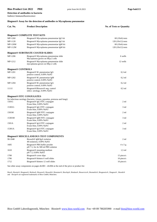# **Bios Product List 2022** PRE print from 04.10.2021 Page bak113 **Detection of antibodies to bacteria**

Indirect Immunofluorescence

#### **Biognost® Assay for the detection of antibodies to Mycoplasma pneumoniae**

| Cat. No. | <b>Product Description</b>                          | <b>No. of Tests or Quantity</b> |
|----------|-----------------------------------------------------|---------------------------------|
|          | <b>Biognost® COMPLETE TEST KITS</b>                 |                                 |
| MP-1260  | Biognost <sup>®</sup> Mycoplasma pneumoniae IgG kit | $60(10x6)$ tests                |

| MP-1120                   | Biognost® Mycoplasma pneumoniae IgG kit                                    | $120(10x12)$ tests |
|---------------------------|----------------------------------------------------------------------------|--------------------|
| MP-126M                   | Biognost® Mycoplasma pneumoniae IgM kit                                    | $60(10x6)$ tests   |
| $MP-112M$                 | Biognost® Mycoplasma pneumoniae IgM kit                                    | $120(10x12)$ tests |
|                           | <b>Biognost® SUBSTRATE COATED SLIDES</b>                                   |                    |
| MP-1206                   | Biognost® Mycoplasma pneumoniae slide<br>Mycoplasma grown on HEp-2 cells   | 6 wells            |
| MP-1212                   | Biognost® Mycoplasma pneumoniae slide<br>mycoplasma grown on HEp-2 cells   | 12 wells           |
| <b>Biognost® CONTROLS</b> |                                                                            |                    |
| MP-1201                   | Biognost <sup>®</sup> M. pneumoniae IgG<br>positive control, 0.09% NaN3    | $0,3$ ml           |
| MP-1202                   | Biognost <sup>®</sup> M. pneumoniae IgM<br>positive control, 0.09% NaN3    | $0,2$ ml           |
| MP-1204                   | Biognost <sup>®</sup> M. pneumoniae IgA<br>positive control, 0.09% NaN3    | $0,2$ ml           |
| 1111I                     | Biognost®/Biosave® neg. control<br>infect. serology, 0.09% NaN3            | $0.5$ ml           |
|                           | <b>Biognost® FITC CONJUGATES</b>                                           |                    |
|                           | for infectious serology (bacteria, viruses, parasites, protozoa and fungi) |                    |
| 1501G                     | Biognost <sup>®</sup> IgG FITC conjugate<br>Evans blue, 0.09% NaN3         | $2 \text{ ml}$     |
| 15301G                    | Biognost <sup>®</sup> IgG FITC conjugate<br>Evans blue, 0.09% NaN3         | 3 ml               |
| 1501M                     | Biognost <sup>®</sup> IgM FITC conjugate<br>Evans blue, 0.09% NaN3         | 2 <sub>ml</sub>    |
| 15301M                    | Biognost <sup>®</sup> IgM FITC conjugate<br>Evans blue, 0.09% NaN3         | 3 ml               |
| 1501A                     | Biognost <sup>®</sup> IgA FITC conjugate<br>Evans blue, 0.09% NaN3         | $2 \text{ ml}$     |
| 15301A                    | Biognost <sup>®</sup> IgA FITC conjugate<br>Evans blue, 0.09% NaN3         | $3 \text{ ml}$     |
|                           | <b>Biognost® MISCELLANEOUS TEST COMPONENTS</b>                             |                    |
| 90-1048                   | Biosorb <sup>®</sup> IgM/IgA isolation<br>48 isolations, 0.09% NaN3        | $2 \text{ ml}$     |
| 1605                      | Biognost® PBS buffer powder<br>pH 7.5, for 4x 500 ml PBS solution          | 4 x 5 g            |
| 1610                      | Biognost <sup>®</sup> mounting medium<br>pH 7.5, 0.09% NaN3                | $1,5$ ml           |
| 1700                      | Biognost <sup>®</sup> cover slips                                          | 15 piece/s         |

See other assay components on pages div001 - div004 at the end of the price or product list

Bios®, Biosite®, Biognost®, Biolisa®, Biosave®, Biosorb®, Biotainer®, Biochip®, Biodata®, Bioservice®, Biomedix®, Biognostix®, Diagnos® , Biostik® and Recipe® are registered trademarks of Bios GmbH, München.

1706 Biognost® blotters 6 well slides 10 piece/s 1712 Biognost® blotters 12 well slides 10 piece/s 10 piece/s